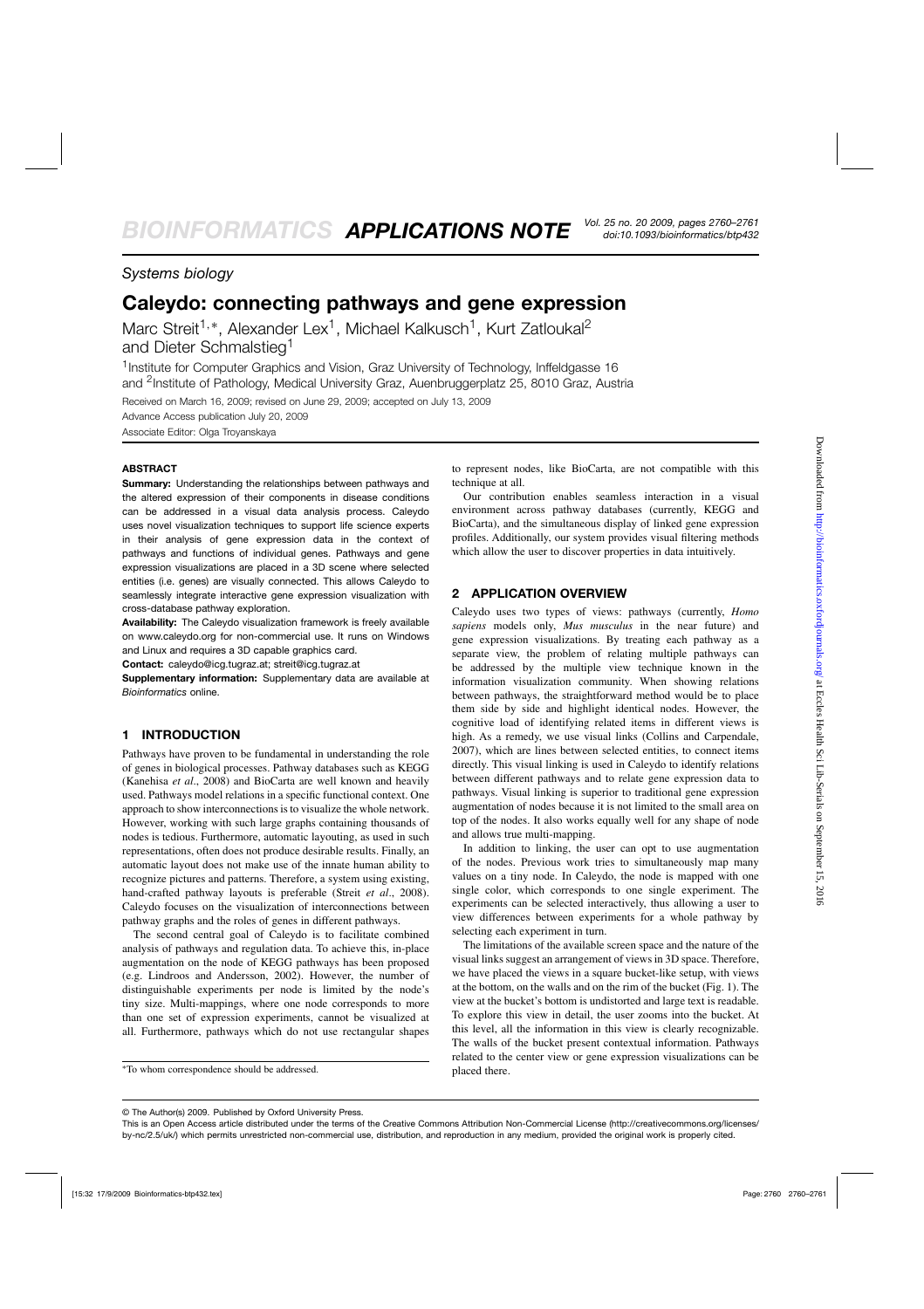## *Systems biology*

# **Caleydo: connecting pathways and gene expression**

Marc Streit<sup>1,\*</sup>, Alexander Lex<sup>1</sup>, Michael Kalkusch<sup>1</sup>, Kurt Zatloukal<sup>2</sup> and Dieter Schmalstieg<sup>1</sup>

<sup>1</sup> Institute for Computer Graphics and Vision, Graz University of Technology, Inffeldgasse 16 and <sup>2</sup>Institute of Pathology, Medical University Graz, Auenbruggerplatz 25, 8010 Graz, Austria

Received on March 16, 2009; revised on June 29, 2009; accepted on July 13, 2009 Advance Access publication July 20, 2009 Associate Editor: Olga Troyanskaya

#### **ABSTRACT**

**Summary:** Understanding the relationships between pathways and the altered expression of their components in disease conditions can be addressed in a visual data analysis process. Caleydo uses novel visualization techniques to support life science experts in their analysis of gene expression data in the context of pathways and functions of individual genes. Pathways and gene expression visualizations are placed in a 3D scene where selected entities (i.e. genes) are visually connected. This allows Caleydo to seamlessly integrate interactive gene expression visualization with cross-database pathway exploration.

**Availability:** The Caleydo visualization framework is freely available on www.caleydo.org for non-commercial use. It runs on Windows and Linux and requires a 3D capable graphics card.

**Contact:** caleydo@icg.tugraz.at; streit@icg.tugraz.at

**Supplementary information:** Supplementary data are available at *Bioinformatics* online.

### **1 INTRODUCTION**

Pathways have proven to be fundamental in understanding the role of genes in biological processes. Pathway databases such as KEGG (Kanehisa *et al*., 2008) and BioCarta are well known and heavily used. Pathways model relations in a specific functional context. One approach to show interconnections is to visualize the whole network. However, working with such large graphs containing thousands of nodes is tedious. Furthermore, automatic layouting, as used in such representations, often does not produce desirable results. Finally, an automatic layout does not make use of the innate human ability to recognize pictures and patterns. Therefore, a system using existing, hand-crafted pathway layouts is preferable (Streit *et al*., 2008). Caleydo focuses on the visualization of interconnections between pathway graphs and the roles of genes in different pathways.

The second central goal of Caleydo is to facilitate combined analysis of pathways and regulation data. To achieve this, in-place augmentation on the node of KEGG pathways has been proposed (e.g. Lindroos and Andersson, 2002). However, the number of distinguishable experiments per node is limited by the node's tiny size. Multi-mappings, where one node corresponds to more than one set of expression experiments, cannot be visualized at all. Furthermore, pathways which do not use rectangular shapes

to represent nodes, like BioCarta, are not compatible with this technique at all.

Our contribution enables seamless interaction in a visual environment across pathway databases (currently, KEGG and BioCarta), and the simultaneous display of linked gene expression profiles. Additionally, our system provides visual filtering methods which allow the user to discover properties in data intuitively.

#### **2 APPLICATION OVERVIEW**

Caleydo uses two types of views: pathways (currently, *Homo sapiens* models only, *Mus musculus* in the near future) and gene expression visualizations. By treating each pathway as a separate view, the problem of relating multiple pathways can be addressed by the multiple view technique known in the information visualization community. When showing relations between pathways, the straightforward method would be to place them side by side and highlight identical nodes. However, the cognitive load of identifying related items in different views is high. As a remedy, we use visual links (Collins and Carpendale, 2007), which are lines between selected entities, to connect items directly. This visual linking is used in Caleydo to identify relations between different pathways and to relate gene expression data to pathways. Visual linking is superior to traditional gene expression augmentation of nodes because it is not limited to the small area on top of the nodes. It also works equally well for any shape of node and allows true multi-mapping.

In addition to linking, the user can opt to use augmentation of the nodes. Previous work tries to simultaneously map many values on a tiny node. In Caleydo, the node is mapped with one single color, which corresponds to one single experiment. The experiments can be selected interactively, thus allowing a user to view differences between experiments for a whole pathway by selecting each experiment in turn.

The limitations of the available screen space and the nature of the visual links suggest an arrangement of views in 3D space. Therefore, we have placed the views in a square bucket-like setup, with views at the bottom, on the walls and on the rim of the bucket (Fig. 1). The view at the bucket's bottom is undistorted and large text is readable. To explore this view in detail, the user zooms into the bucket. At this level, all the information in this view is clearly recognizable. The walls of the bucket present contextual information. Pathways related to the center view or gene expression visualizations can be placed there.

<sup>∗</sup>To whom correspondence should be addressed.

<sup>©</sup> The Author(s) 2009. Published by Oxford University Press.

This is an Open Access article distributed under the terms of the Creative Commons Attribution Non-Commercial License [\(http://creativecommons.org/licenses/](http://creativecommons.org/licenses/) by-nc/2.5/uk/) which permits unrestricted non-commercial use, distribution, and reproduction in any medium, provided the original work is properly cited.